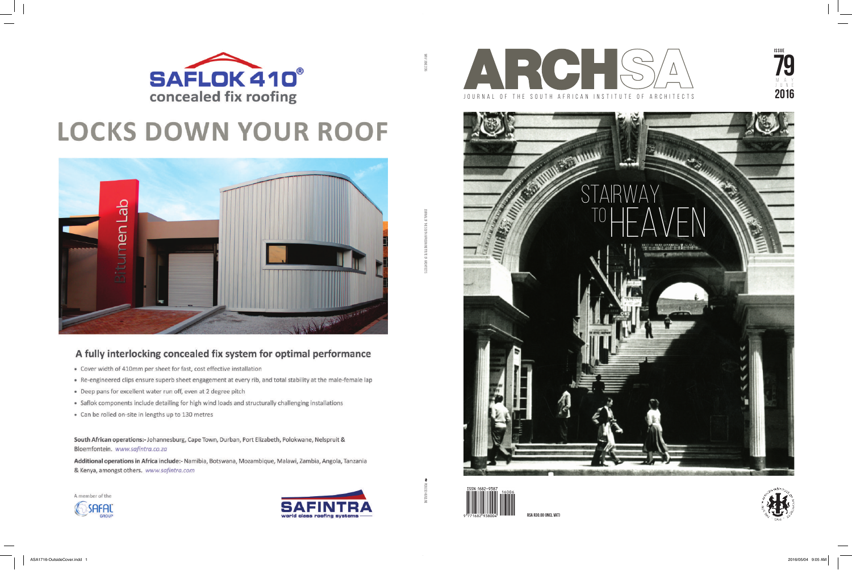









**RSA R30.00 (incl VAT)**